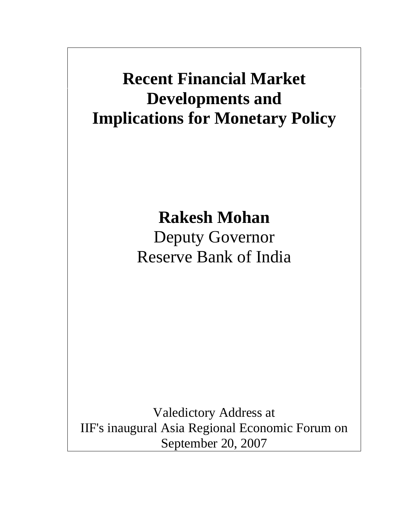# **Recent Financial Market Developments and Implications for Monetary Policy**

# **Rakesh Mohan**

Deputy Governor Reserve Bank of India

Valedictory Address at IIF's inaugural Asia Regional Economic Forum on September 20, 2007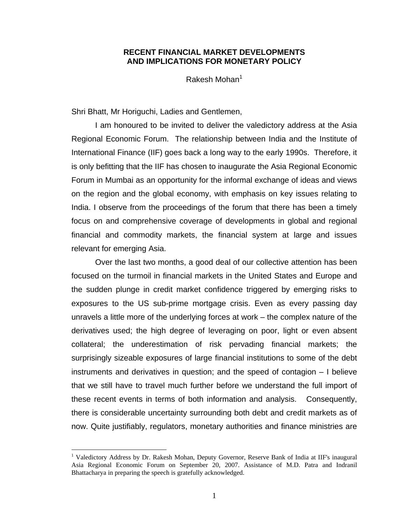## **RECENT FINANCIAL MARKET DEVELOPMENTS AND IMPLICATIONS FOR MONETARY POLICY**

Rakesh Mohan<sup>1</sup>

Shri Bhatt, Mr Horiguchi, Ladies and Gentlemen,

I am honoured to be invited to deliver the valedictory address at the Asia Regional Economic Forum. The relationship between India and the Institute of International Finance (IIF) goes back a long way to the early 1990s. Therefore, it is only befitting that the IIF has chosen to inaugurate the Asia Regional Economic Forum in Mumbai as an opportunity for the informal exchange of ideas and views on the region and the global economy, with emphasis on key issues relating to India. I observe from the proceedings of the forum that there has been a timely focus on and comprehensive coverage of developments in global and regional financial and commodity markets, the financial system at large and issues relevant for emerging Asia.

 Over the last two months, a good deal of our collective attention has been focused on the turmoil in financial markets in the United States and Europe and the sudden plunge in credit market confidence triggered by emerging risks to exposures to the US sub-prime mortgage crisis. Even as every passing day unravels a little more of the underlying forces at work – the complex nature of the derivatives used; the high degree of leveraging on poor, light or even absent collateral; the underestimation of risk pervading financial markets; the surprisingly sizeable exposures of large financial institutions to some of the debt instruments and derivatives in question; and the speed of contagion – I believe that we still have to travel much further before we understand the full import of these recent events in terms of both information and analysis. Consequently, there is considerable uncertainty surrounding both debt and credit markets as of now. Quite justifiably, regulators, monetary authorities and finance ministries are

 $\overline{a}$ 

<sup>&</sup>lt;sup>1</sup> Valedictory Address by Dr. Rakesh Mohan, Deputy Governor, Reserve Bank of India at IIF's inaugural Asia Regional Economic Forum on September 20, 2007. Assistance of M.D. Patra and Indranil Bhattacharya in preparing the speech is gratefully acknowledged.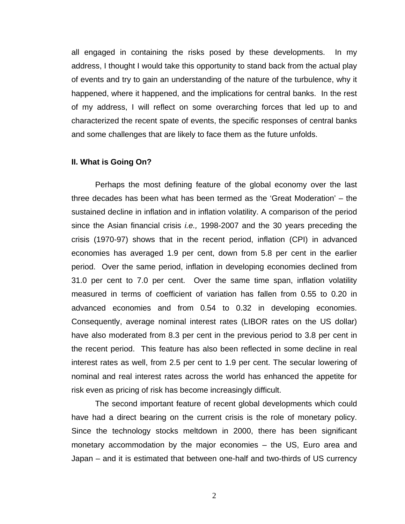all engaged in containing the risks posed by these developments. In my address, I thought I would take this opportunity to stand back from the actual play of events and try to gain an understanding of the nature of the turbulence, why it happened, where it happened, and the implications for central banks. In the rest of my address, I will reflect on some overarching forces that led up to and characterized the recent spate of events, the specific responses of central banks and some challenges that are likely to face them as the future unfolds.

#### **II. What is Going On?**

 Perhaps the most defining feature of the global economy over the last three decades has been what has been termed as the 'Great Moderation' – the sustained decline in inflation and in inflation volatility. A comparison of the period since the Asian financial crisis *i.e.,* 1998-2007 and the 30 years preceding the crisis (1970-97) shows that in the recent period, inflation (CPI) in advanced economies has averaged 1.9 per cent, down from 5.8 per cent in the earlier period. Over the same period, inflation in developing economies declined from 31.0 per cent to 7.0 per cent. Over the same time span, inflation volatility measured in terms of coefficient of variation has fallen from 0.55 to 0.20 in advanced economies and from 0.54 to 0.32 in developing economies. Consequently, average nominal interest rates (LIBOR rates on the US dollar) have also moderated from 8.3 per cent in the previous period to 3.8 per cent in the recent period. This feature has also been reflected in some decline in real interest rates as well, from 2.5 per cent to 1.9 per cent. The secular lowering of nominal and real interest rates across the world has enhanced the appetite for risk even as pricing of risk has become increasingly difficult.

 The second important feature of recent global developments which could have had a direct bearing on the current crisis is the role of monetary policy. Since the technology stocks meltdown in 2000, there has been significant monetary accommodation by the major economies – the US, Euro area and Japan – and it is estimated that between one-half and two-thirds of US currency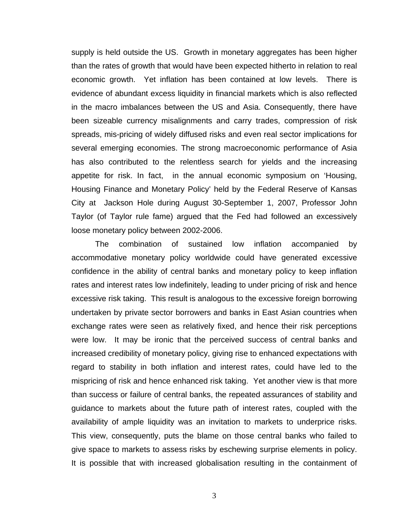supply is held outside the US. Growth in monetary aggregates has been higher than the rates of growth that would have been expected hitherto in relation to real economic growth. Yet inflation has been contained at low levels. There is evidence of abundant excess liquidity in financial markets which is also reflected in the macro imbalances between the US and Asia. Consequently, there have been sizeable currency misalignments and carry trades, compression of risk spreads, mis-pricing of widely diffused risks and even real sector implications for several emerging economies. The strong macroeconomic performance of Asia has also contributed to the relentless search for yields and the increasing appetite for risk. In fact, in the annual economic symposium on 'Housing, Housing Finance and Monetary Policy' held by the Federal Reserve of Kansas City at Jackson Hole during August 30-September 1, 2007, Professor John Taylor (of Taylor rule fame) argued that the Fed had followed an excessively loose monetary policy between 2002-2006.

The combination of sustained low inflation accompanied by accommodative monetary policy worldwide could have generated excessive confidence in the ability of central banks and monetary policy to keep inflation rates and interest rates low indefinitely, leading to under pricing of risk and hence excessive risk taking. This result is analogous to the excessive foreign borrowing undertaken by private sector borrowers and banks in East Asian countries when exchange rates were seen as relatively fixed, and hence their risk perceptions were low. It may be ironic that the perceived success of central banks and increased credibility of monetary policy, giving rise to enhanced expectations with regard to stability in both inflation and interest rates, could have led to the mispricing of risk and hence enhanced risk taking. Yet another view is that more than success or failure of central banks, the repeated assurances of stability and guidance to markets about the future path of interest rates, coupled with the availability of ample liquidity was an invitation to markets to underprice risks. This view, consequently, puts the blame on those central banks who failed to give space to markets to assess risks by eschewing surprise elements in policy. It is possible that with increased globalisation resulting in the containment of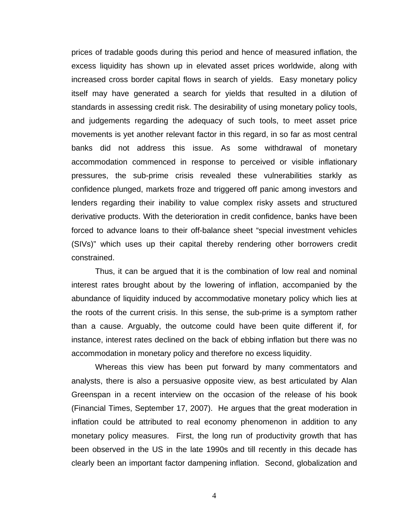prices of tradable goods during this period and hence of measured inflation, the excess liquidity has shown up in elevated asset prices worldwide, along with increased cross border capital flows in search of yields. Easy monetary policy itself may have generated a search for yields that resulted in a dilution of standards in assessing credit risk. The desirability of using monetary policy tools, and judgements regarding the adequacy of such tools, to meet asset price movements is yet another relevant factor in this regard, in so far as most central banks did not address this issue. As some withdrawal of monetary accommodation commenced in response to perceived or visible inflationary pressures, the sub-prime crisis revealed these vulnerabilities starkly as confidence plunged, markets froze and triggered off panic among investors and lenders regarding their inability to value complex risky assets and structured derivative products. With the deterioration in credit confidence, banks have been forced to advance loans to their off-balance sheet "special investment vehicles (SIVs)" which uses up their capital thereby rendering other borrowers credit constrained.

 Thus, it can be argued that it is the combination of low real and nominal interest rates brought about by the lowering of inflation, accompanied by the abundance of liquidity induced by accommodative monetary policy which lies at the roots of the current crisis. In this sense, the sub-prime is a symptom rather than a cause. Arguably, the outcome could have been quite different if, for instance, interest rates declined on the back of ebbing inflation but there was no accommodation in monetary policy and therefore no excess liquidity.

Whereas this view has been put forward by many commentators and analysts, there is also a persuasive opposite view, as best articulated by Alan Greenspan in a recent interview on the occasion of the release of his book (Financial Times, September 17, 2007). He argues that the great moderation in inflation could be attributed to real economy phenomenon in addition to any monetary policy measures. First, the long run of productivity growth that has been observed in the US in the late 1990s and till recently in this decade has clearly been an important factor dampening inflation. Second, globalization and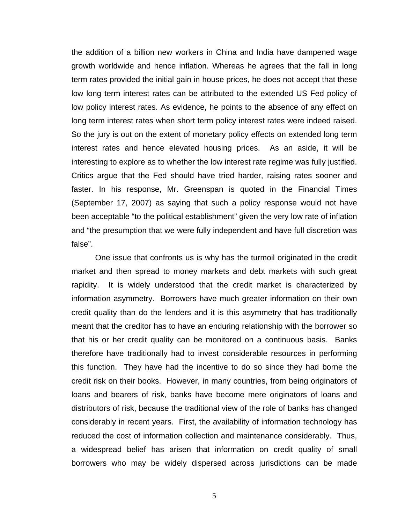the addition of a billion new workers in China and India have dampened wage growth worldwide and hence inflation. Whereas he agrees that the fall in long term rates provided the initial gain in house prices, he does not accept that these low long term interest rates can be attributed to the extended US Fed policy of low policy interest rates. As evidence, he points to the absence of any effect on long term interest rates when short term policy interest rates were indeed raised. So the jury is out on the extent of monetary policy effects on extended long term interest rates and hence elevated housing prices. As an aside, it will be interesting to explore as to whether the low interest rate regime was fully justified. Critics argue that the Fed should have tried harder, raising rates sooner and faster. In his response, Mr. Greenspan is quoted in the Financial Times (September 17, 2007) as saying that such a policy response would not have been acceptable "to the political establishment" given the very low rate of inflation and "the presumption that we were fully independent and have full discretion was false".

One issue that confronts us is why has the turmoil originated in the credit market and then spread to money markets and debt markets with such great rapidity. It is widely understood that the credit market is characterized by information asymmetry. Borrowers have much greater information on their own credit quality than do the lenders and it is this asymmetry that has traditionally meant that the creditor has to have an enduring relationship with the borrower so that his or her credit quality can be monitored on a continuous basis. Banks therefore have traditionally had to invest considerable resources in performing this function. They have had the incentive to do so since they had borne the credit risk on their books. However, in many countries, from being originators of loans and bearers of risk, banks have become mere originators of loans and distributors of risk, because the traditional view of the role of banks has changed considerably in recent years. First, the availability of information technology has reduced the cost of information collection and maintenance considerably. Thus, a widespread belief has arisen that information on credit quality of small borrowers who may be widely dispersed across jurisdictions can be made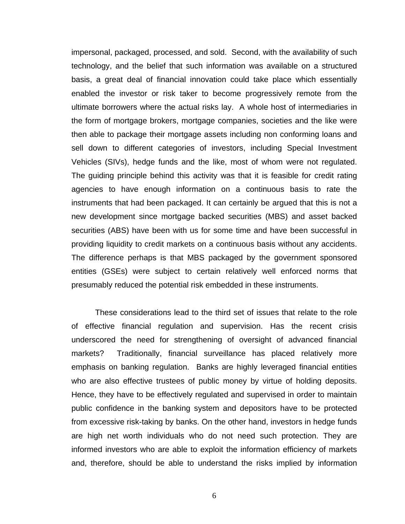impersonal, packaged, processed, and sold. Second, with the availability of such technology, and the belief that such information was available on a structured basis, a great deal of financial innovation could take place which essentially enabled the investor or risk taker to become progressively remote from the ultimate borrowers where the actual risks lay. A whole host of intermediaries in the form of mortgage brokers, mortgage companies, societies and the like were then able to package their mortgage assets including non conforming loans and sell down to different categories of investors, including Special Investment Vehicles (SIVs), hedge funds and the like, most of whom were not regulated. The guiding principle behind this activity was that it is feasible for credit rating agencies to have enough information on a continuous basis to rate the instruments that had been packaged. It can certainly be argued that this is not a new development since mortgage backed securities (MBS) and asset backed securities (ABS) have been with us for some time and have been successful in providing liquidity to credit markets on a continuous basis without any accidents. The difference perhaps is that MBS packaged by the government sponsored entities (GSEs) were subject to certain relatively well enforced norms that presumably reduced the potential risk embedded in these instruments.

These considerations lead to the third set of issues that relate to the role of effective financial regulation and supervision. Has the recent crisis underscored the need for strengthening of oversight of advanced financial markets? Traditionally, financial surveillance has placed relatively more emphasis on banking regulation. Banks are highly leveraged financial entities who are also effective trustees of public money by virtue of holding deposits. Hence, they have to be effectively regulated and supervised in order to maintain public confidence in the banking system and depositors have to be protected from excessive risk-taking by banks. On the other hand, investors in hedge funds are high net worth individuals who do not need such protection. They are informed investors who are able to exploit the information efficiency of markets and, therefore, should be able to understand the risks implied by information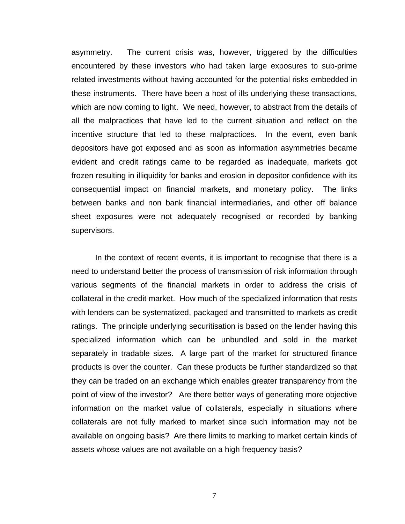asymmetry. The current crisis was, however, triggered by the difficulties encountered by these investors who had taken large exposures to sub-prime related investments without having accounted for the potential risks embedded in these instruments. There have been a host of ills underlying these transactions, which are now coming to light. We need, however, to abstract from the details of all the malpractices that have led to the current situation and reflect on the incentive structure that led to these malpractices. In the event, even bank depositors have got exposed and as soon as information asymmetries became evident and credit ratings came to be regarded as inadequate, markets got frozen resulting in illiquidity for banks and erosion in depositor confidence with its consequential impact on financial markets, and monetary policy. The links between banks and non bank financial intermediaries, and other off balance sheet exposures were not adequately recognised or recorded by banking supervisors.

In the context of recent events, it is important to recognise that there is a need to understand better the process of transmission of risk information through various segments of the financial markets in order to address the crisis of collateral in the credit market. How much of the specialized information that rests with lenders can be systematized, packaged and transmitted to markets as credit ratings. The principle underlying securitisation is based on the lender having this specialized information which can be unbundled and sold in the market separately in tradable sizes. A large part of the market for structured finance products is over the counter. Can these products be further standardized so that they can be traded on an exchange which enables greater transparency from the point of view of the investor? Are there better ways of generating more objective information on the market value of collaterals, especially in situations where collaterals are not fully marked to market since such information may not be available on ongoing basis? Are there limits to marking to market certain kinds of assets whose values are not available on a high frequency basis?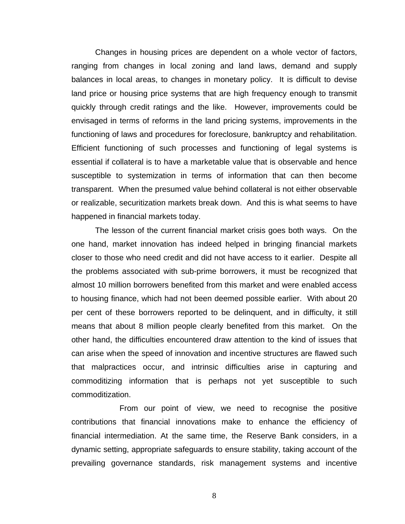Changes in housing prices are dependent on a whole vector of factors, ranging from changes in local zoning and land laws, demand and supply balances in local areas, to changes in monetary policy. It is difficult to devise land price or housing price systems that are high frequency enough to transmit quickly through credit ratings and the like. However, improvements could be envisaged in terms of reforms in the land pricing systems, improvements in the functioning of laws and procedures for foreclosure, bankruptcy and rehabilitation. Efficient functioning of such processes and functioning of legal systems is essential if collateral is to have a marketable value that is observable and hence susceptible to systemization in terms of information that can then become transparent. When the presumed value behind collateral is not either observable or realizable, securitization markets break down. And this is what seems to have happened in financial markets today.

The lesson of the current financial market crisis goes both ways. On the one hand, market innovation has indeed helped in bringing financial markets closer to those who need credit and did not have access to it earlier. Despite all the problems associated with sub-prime borrowers, it must be recognized that almost 10 million borrowers benefited from this market and were enabled access to housing finance, which had not been deemed possible earlier. With about 20 per cent of these borrowers reported to be delinquent, and in difficulty, it still means that about 8 million people clearly benefited from this market. On the other hand, the difficulties encountered draw attention to the kind of issues that can arise when the speed of innovation and incentive structures are flawed such that malpractices occur, and intrinsic difficulties arise in capturing and commoditizing information that is perhaps not yet susceptible to such commoditization.

 From our point of view, we need to recognise the positive contributions that financial innovations make to enhance the efficiency of financial intermediation. At the same time, the Reserve Bank considers, in a dynamic setting, appropriate safeguards to ensure stability, taking account of the prevailing governance standards, risk management systems and incentive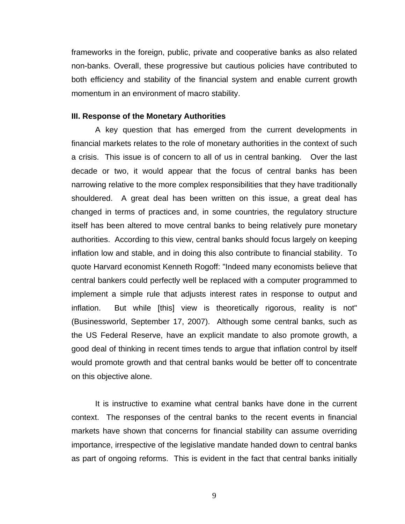frameworks in the foreign, public, private and cooperative banks as also related non-banks. Overall, these progressive but cautious policies have contributed to both efficiency and stability of the financial system and enable current growth momentum in an environment of macro stability.

### **III. Response of the Monetary Authorities**

A key question that has emerged from the current developments in financial markets relates to the role of monetary authorities in the context of such a crisis. This issue is of concern to all of us in central banking. Over the last decade or two, it would appear that the focus of central banks has been narrowing relative to the more complex responsibilities that they have traditionally shouldered. A great deal has been written on this issue, a great deal has changed in terms of practices and, in some countries, the regulatory structure itself has been altered to move central banks to being relatively pure monetary authorities. According to this view, central banks should focus largely on keeping inflation low and stable, and in doing this also contribute to financial stability. To quote Harvard economist Kenneth Rogoff: "Indeed many economists believe that central bankers could perfectly well be replaced with a computer programmed to implement a simple rule that adjusts interest rates in response to output and inflation. But while [this] view is theoretically rigorous, reality is not" (Businessworld, September 17, 2007). Although some central banks, such as the US Federal Reserve, have an explicit mandate to also promote growth, a good deal of thinking in recent times tends to argue that inflation control by itself would promote growth and that central banks would be better off to concentrate on this objective alone.

It is instructive to examine what central banks have done in the current context. The responses of the central banks to the recent events in financial markets have shown that concerns for financial stability can assume overriding importance, irrespective of the legislative mandate handed down to central banks as part of ongoing reforms. This is evident in the fact that central banks initially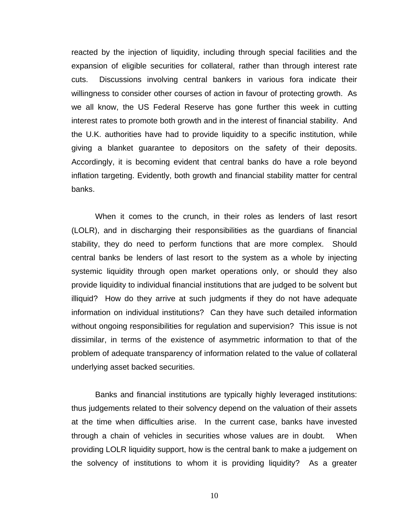reacted by the injection of liquidity, including through special facilities and the expansion of eligible securities for collateral, rather than through interest rate cuts. Discussions involving central bankers in various fora indicate their willingness to consider other courses of action in favour of protecting growth. As we all know, the US Federal Reserve has gone further this week in cutting interest rates to promote both growth and in the interest of financial stability. And the U.K. authorities have had to provide liquidity to a specific institution, while giving a blanket guarantee to depositors on the safety of their deposits. Accordingly, it is becoming evident that central banks do have a role beyond inflation targeting. Evidently, both growth and financial stability matter for central banks.

When it comes to the crunch, in their roles as lenders of last resort (LOLR), and in discharging their responsibilities as the guardians of financial stability, they do need to perform functions that are more complex. Should central banks be lenders of last resort to the system as a whole by injecting systemic liquidity through open market operations only, or should they also provide liquidity to individual financial institutions that are judged to be solvent but illiquid? How do they arrive at such judgments if they do not have adequate information on individual institutions? Can they have such detailed information without ongoing responsibilities for regulation and supervision? This issue is not dissimilar, in terms of the existence of asymmetric information to that of the problem of adequate transparency of information related to the value of collateral underlying asset backed securities.

Banks and financial institutions are typically highly leveraged institutions: thus judgements related to their solvency depend on the valuation of their assets at the time when difficulties arise. In the current case, banks have invested through a chain of vehicles in securities whose values are in doubt. When providing LOLR liquidity support, how is the central bank to make a judgement on the solvency of institutions to whom it is providing liquidity? As a greater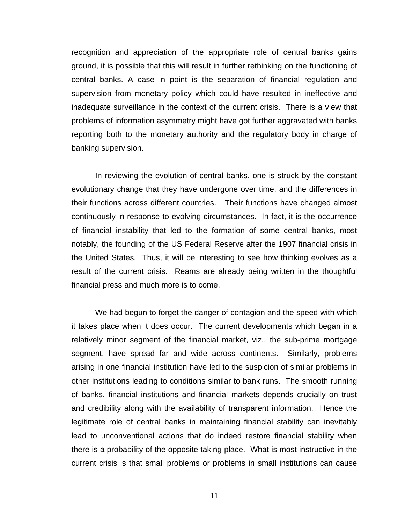recognition and appreciation of the appropriate role of central banks gains ground, it is possible that this will result in further rethinking on the functioning of central banks. A case in point is the separation of financial regulation and supervision from monetary policy which could have resulted in ineffective and inadequate surveillance in the context of the current crisis. There is a view that problems of information asymmetry might have got further aggravated with banks reporting both to the monetary authority and the regulatory body in charge of banking supervision.

In reviewing the evolution of central banks, one is struck by the constant evolutionary change that they have undergone over time, and the differences in their functions across different countries. Their functions have changed almost continuously in response to evolving circumstances. In fact, it is the occurrence of financial instability that led to the formation of some central banks, most notably, the founding of the US Federal Reserve after the 1907 financial crisis in the United States. Thus, it will be interesting to see how thinking evolves as a result of the current crisis. Reams are already being written in the thoughtful financial press and much more is to come.

We had begun to forget the danger of contagion and the speed with which it takes place when it does occur. The current developments which began in a relatively minor segment of the financial market, viz., the sub-prime mortgage segment, have spread far and wide across continents. Similarly, problems arising in one financial institution have led to the suspicion of similar problems in other institutions leading to conditions similar to bank runs. The smooth running of banks, financial institutions and financial markets depends crucially on trust and credibility along with the availability of transparent information. Hence the legitimate role of central banks in maintaining financial stability can inevitably lead to unconventional actions that do indeed restore financial stability when there is a probability of the opposite taking place.What is most instructive in the current crisis is that small problems or problems in small institutions can cause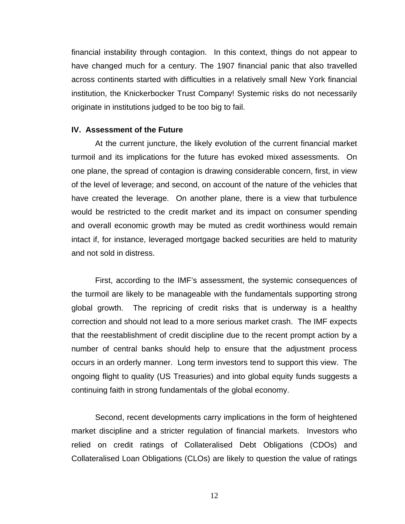financial instability through contagion. In this context, things do not appear to have changed much for a century. The 1907 financial panic that also travelled across continents started with difficulties in a relatively small New York financial institution, the Knickerbocker Trust Company! Systemic risks do not necessarily originate in institutions judged to be too big to fail.

#### **IV. Assessment of the Future**

 At the current juncture, the likely evolution of the current financial market turmoil and its implications for the future has evoked mixed assessments. On one plane, the spread of contagion is drawing considerable concern, first, in view of the level of leverage; and second, on account of the nature of the vehicles that have created the leverage. On another plane, there is a view that turbulence would be restricted to the credit market and its impact on consumer spending and overall economic growth may be muted as credit worthiness would remain intact if, for instance, leveraged mortgage backed securities are held to maturity and not sold in distress.

 First, according to the IMF's assessment, the systemic consequences of the turmoil are likely to be manageable with the fundamentals supporting strong global growth. The repricing of credit risks that is underway is a healthy correction and should not lead to a more serious market crash. The IMF expects that the reestablishment of credit discipline due to the recent prompt action by a number of central banks should help to ensure that the adjustment process occurs in an orderly manner. Long term investors tend to support this view. The ongoing flight to quality (US Treasuries) and into global equity funds suggests a continuing faith in strong fundamentals of the global economy.

 Second, recent developments carry implications in the form of heightened market discipline and a stricter regulation of financial markets. Investors who relied on credit ratings of Collateralised Debt Obligations (CDOs) and Collateralised Loan Obligations (CLOs) are likely to question the value of ratings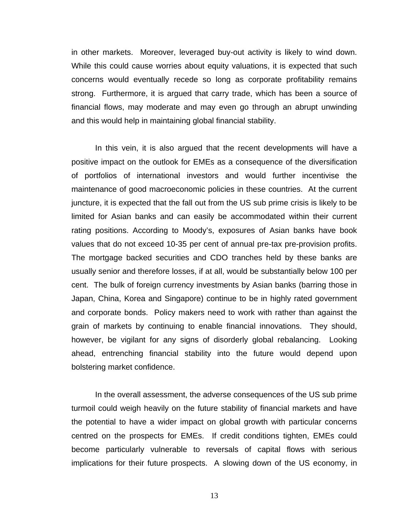in other markets. Moreover, leveraged buy-out activity is likely to wind down. While this could cause worries about equity valuations, it is expected that such concerns would eventually recede so long as corporate profitability remains strong. Furthermore, it is argued that carry trade, which has been a source of financial flows, may moderate and may even go through an abrupt unwinding and this would help in maintaining global financial stability.

In this vein, it is also argued that the recent developments will have a positive impact on the outlook for EMEs as a consequence of the diversification of portfolios of international investors and would further incentivise the maintenance of good macroeconomic policies in these countries. At the current juncture, it is expected that the fall out from the US sub prime crisis is likely to be limited for Asian banks and can easily be accommodated within their current rating positions. According to Moody's, exposures of Asian banks have book values that do not exceed 10-35 per cent of annual pre-tax pre-provision profits. The mortgage backed securities and CDO tranches held by these banks are usually senior and therefore losses, if at all, would be substantially below 100 per cent. The bulk of foreign currency investments by Asian banks (barring those in Japan, China, Korea and Singapore) continue to be in highly rated government and corporate bonds. Policy makers need to work with rather than against the grain of markets by continuing to enable financial innovations. They should, however, be vigilant for any signs of disorderly global rebalancing. Looking ahead, entrenching financial stability into the future would depend upon bolstering market confidence.

In the overall assessment, the adverse consequences of the US sub prime turmoil could weigh heavily on the future stability of financial markets and have the potential to have a wider impact on global growth with particular concerns centred on the prospects for EMEs. If credit conditions tighten, EMEs could become particularly vulnerable to reversals of capital flows with serious implications for their future prospects. A slowing down of the US economy, in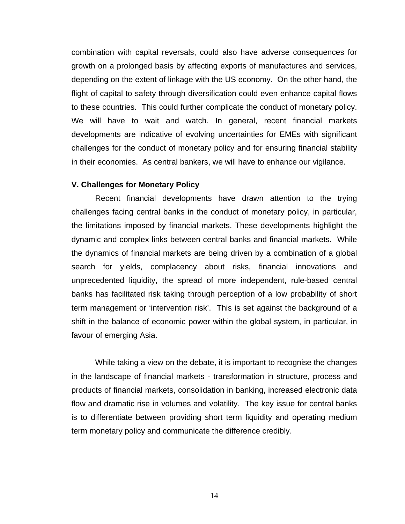combination with capital reversals, could also have adverse consequences for growth on a prolonged basis by affecting exports of manufactures and services, depending on the extent of linkage with the US economy. On the other hand, the flight of capital to safety through diversification could even enhance capital flows to these countries. This could further complicate the conduct of monetary policy. We will have to wait and watch. In general, recent financial markets developments are indicative of evolving uncertainties for EMEs with significant challenges for the conduct of monetary policy and for ensuring financial stability in their economies. As central bankers, we will have to enhance our vigilance.

#### **V. Challenges for Monetary Policy**

Recent financial developments have drawn attention to the trying challenges facing central banks in the conduct of monetary policy, in particular, the limitations imposed by financial markets. These developments highlight the dynamic and complex links between central banks and financial markets. While the dynamics of financial markets are being driven by a combination of a global search for yields, complacency about risks, financial innovations and unprecedented liquidity, the spread of more independent, rule-based central banks has facilitated risk taking through perception of a low probability of short term management or 'intervention risk'. This is set against the background of a shift in the balance of economic power within the global system, in particular, in favour of emerging Asia.

While taking a view on the debate, it is important to recognise the changes in the landscape of financial markets - transformation in structure, process and products of financial markets, consolidation in banking, increased electronic data flow and dramatic rise in volumes and volatility. The key issue for central banks is to differentiate between providing short term liquidity and operating medium term monetary policy and communicate the difference credibly.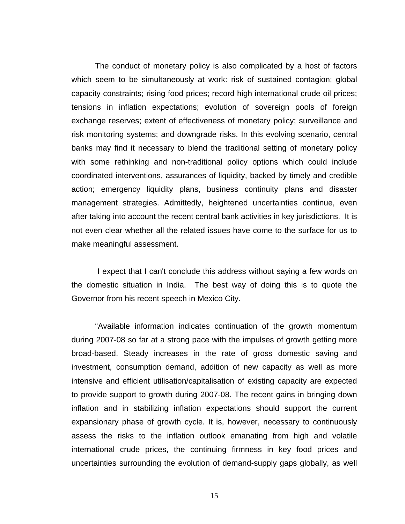The conduct of monetary policy is also complicated by a host of factors which seem to be simultaneously at work: risk of sustained contagion; global capacity constraints; rising food prices; record high international crude oil prices; tensions in inflation expectations; evolution of sovereign pools of foreign exchange reserves; extent of effectiveness of monetary policy; surveillance and risk monitoring systems; and downgrade risks. In this evolving scenario, central banks may find it necessary to blend the traditional setting of monetary policy with some rethinking and non-traditional policy options which could include coordinated interventions, assurances of liquidity, backed by timely and credible action; emergency liquidity plans, business continuity plans and disaster management strategies. Admittedly, heightened uncertainties continue, even after taking into account the recent central bank activities in key jurisdictions. It is not even clear whether all the related issues have come to the surface for us to make meaningful assessment.

 I expect that I can't conclude this address without saying a few words on the domestic situation in India. The best way of doing this is to quote the Governor from his recent speech in Mexico City.

"Available information indicates continuation of the growth momentum during 2007-08 so far at a strong pace with the impulses of growth getting more broad-based. Steady increases in the rate of gross domestic saving and investment, consumption demand, addition of new capacity as well as more intensive and efficient utilisation/capitalisation of existing capacity are expected to provide support to growth during 2007-08. The recent gains in bringing down inflation and in stabilizing inflation expectations should support the current expansionary phase of growth cycle. It is, however, necessary to continuously assess the risks to the inflation outlook emanating from high and volatile international crude prices, the continuing firmness in key food prices and uncertainties surrounding the evolution of demand-supply gaps globally, as well